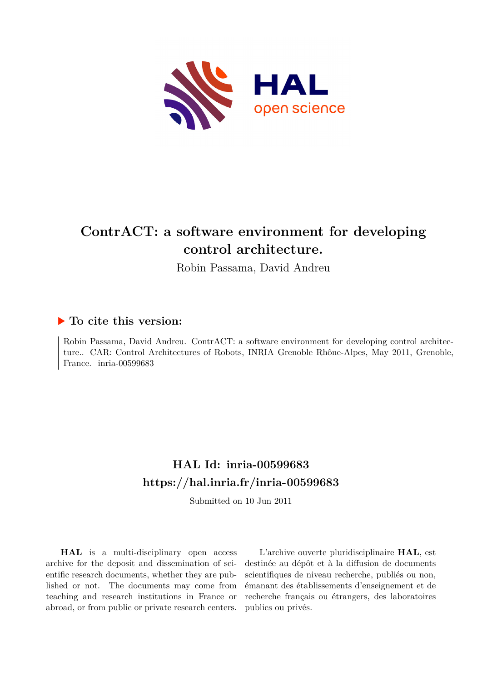

# **ContrACT: a software environment for developing control architecture.**

Robin Passama, David Andreu

# **To cite this version:**

Robin Passama, David Andreu. ContrACT: a software environment for developing control architecture.. CAR: Control Architectures of Robots, INRIA Grenoble Rhône-Alpes, May 2011, Grenoble, France. inria-00599683

# **HAL Id: inria-00599683 <https://hal.inria.fr/inria-00599683>**

Submitted on 10 Jun 2011

**HAL** is a multi-disciplinary open access archive for the deposit and dissemination of scientific research documents, whether they are published or not. The documents may come from teaching and research institutions in France or abroad, or from public or private research centers.

L'archive ouverte pluridisciplinaire **HAL**, est destinée au dépôt et à la diffusion de documents scientifiques de niveau recherche, publiés ou non, émanant des établissements d'enseignement et de recherche français ou étrangers, des laboratoires publics ou privés.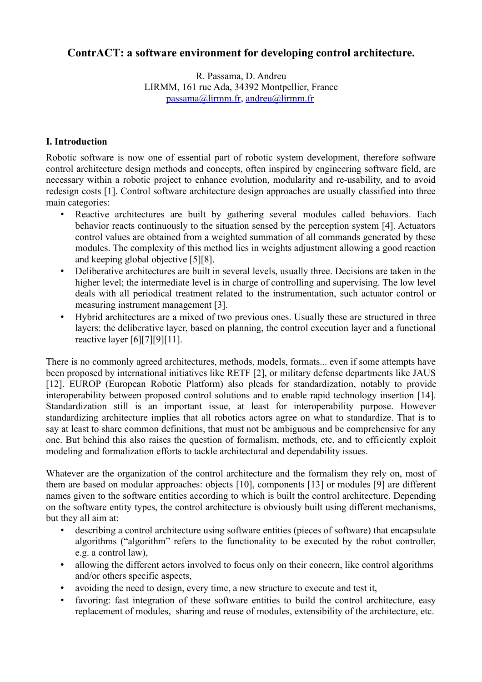# **ContrACT: a software environment for developing control architecture.**

R. Passama, D. Andreu LIRMM, 161 rue Ada, 34392 Montpellier, France [passama@lirmm.fr,](mailto:passama@lirmm.fr) [andreu@lirmm.fr](mailto:andreu@lirmm.fr)

## **I. Introduction**

Robotic software is now one of essential part of robotic system development, therefore software control architecture design methods and concepts, often inspired by engineering software field, are necessary within a robotic project to enhance evolution, modularity and re-usability, and to avoid redesign costs [1]. Control software architecture design approaches are usually classified into three main categories:

- Reactive architectures are built by gathering several modules called behaviors. Each behavior reacts continuously to the situation sensed by the perception system [4]. Actuators control values are obtained from a weighted summation of all commands generated by these modules. The complexity of this method lies in weights adjustment allowing a good reaction and keeping global objective [5][8].
- Deliberative architectures are built in several levels, usually three. Decisions are taken in the higher level; the intermediate level is in charge of controlling and supervising. The low level deals with all periodical treatment related to the instrumentation, such actuator control or measuring instrument management [3].
- Hybrid architectures are a mixed of two previous ones. Usually these are structured in three layers: the deliberative layer, based on planning, the control execution layer and a functional reactive layer [6][7][9][11].

There is no commonly agreed architectures, methods, models, formats... even if some attempts have been proposed by international initiatives like RETF [2], or military defense departments like JAUS [12]. EUROP (European Robotic Platform) also pleads for standardization, notably to provide interoperability between proposed control solutions and to enable rapid technology insertion [14]. Standardization still is an important issue, at least for interoperability purpose. However standardizing architecture implies that all robotics actors agree on what to standardize. That is to say at least to share common definitions, that must not be ambiguous and be comprehensive for any one. But behind this also raises the question of formalism, methods, etc. and to efficiently exploit modeling and formalization efforts to tackle architectural and dependability issues.

Whatever are the organization of the control architecture and the formalism they rely on, most of them are based on modular approaches: objects [10], components [13] or modules [9] are different names given to the software entities according to which is built the control architecture. Depending on the software entity types, the control architecture is obviously built using different mechanisms, but they all aim at:

- describing a control architecture using software entities (pieces of software) that encapsulate algorithms ("algorithm" refers to the functionality to be executed by the robot controller, e.g. a control law),
- allowing the different actors involved to focus only on their concern, like control algorithms and/or others specific aspects,
- avoiding the need to design, every time, a new structure to execute and test it,
- favoring: fast integration of these software entities to build the control architecture, easy replacement of modules, sharing and reuse of modules, extensibility of the architecture, etc.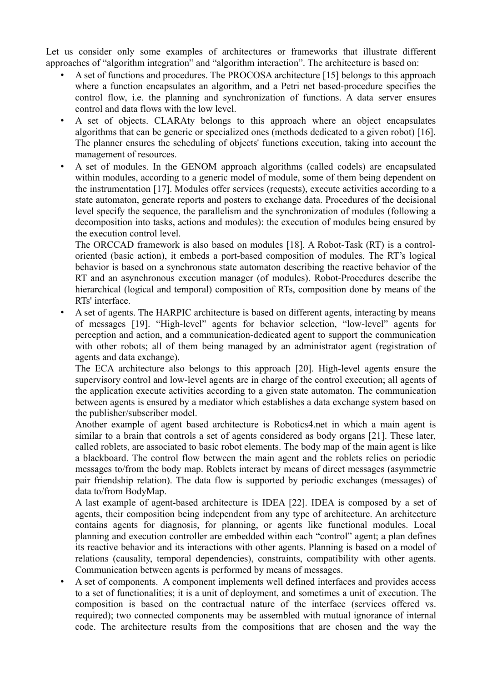Let us consider only some examples of architectures or frameworks that illustrate different approaches of "algorithm integration" and "algorithm interaction". The architecture is based on:

- A set of functions and procedures. The PROCOSA architecture [15] belongs to this approach where a function encapsulates an algorithm, and a Petri net based-procedure specifies the control flow, i.e. the planning and synchronization of functions. A data server ensures control and data flows with the low level.
- A set of objects. CLARAty belongs to this approach where an object encapsulates algorithms that can be generic or specialized ones (methods dedicated to a given robot) [16]. The planner ensures the scheduling of objects' functions execution, taking into account the management of resources.
- A set of modules. In the GENOM approach algorithms (called codels) are encapsulated within modules, according to a generic model of module, some of them being dependent on the instrumentation [17]. Modules offer services (requests), execute activities according to a state automaton, generate reports and posters to exchange data. Procedures of the decisional level specify the sequence, the parallelism and the synchronization of modules (following a decomposition into tasks, actions and modules): the execution of modules being ensured by the execution control level.

The ORCCAD framework is also based on modules [18]. A Robot-Task (RT) is a controloriented (basic action), it embeds a port-based composition of modules. The RT's logical behavior is based on a synchronous state automaton describing the reactive behavior of the RT and an asynchronous execution manager (of modules). Robot-Procedures describe the hierarchical (logical and temporal) composition of RTs, composition done by means of the RTs' interface.

• A set of agents. The HARPIC architecture is based on different agents, interacting by means of messages [19]. "High-level" agents for behavior selection, "low-level" agents for perception and action, and a communication-dedicated agent to support the communication with other robots; all of them being managed by an administrator agent (registration of agents and data exchange).

The ECA architecture also belongs to this approach [20]. High-level agents ensure the supervisory control and low-level agents are in charge of the control execution; all agents of the application execute activities according to a given state automaton. The communication between agents is ensured by a mediator which establishes a data exchange system based on the publisher/subscriber model.

Another example of agent based architecture is Robotics4.net in which a main agent is similar to a brain that controls a set of agents considered as body organs [21]. These later, called roblets, are associated to basic robot elements. The body map of the main agent is like a blackboard. The control flow between the main agent and the roblets relies on periodic messages to/from the body map. Roblets interact by means of direct messages (asymmetric pair friendship relation). The data flow is supported by periodic exchanges (messages) of data to/from BodyMap.

A last example of agent-based architecture is IDEA [22]. IDEA is composed by a set of agents, their composition being independent from any type of architecture. An architecture contains agents for diagnosis, for planning, or agents like functional modules. Local planning and execution controller are embedded within each "control" agent; a plan defines its reactive behavior and its interactions with other agents. Planning is based on a model of relations (causality, temporal dependencies), constraints, compatibility with other agents. Communication between agents is performed by means of messages.

• A set of components. A component implements well defined interfaces and provides access to a set of functionalities; it is a unit of deployment, and sometimes a unit of execution. The composition is based on the contractual nature of the interface (services offered vs. required); two connected components may be assembled with mutual ignorance of internal code. The architecture results from the compositions that are chosen and the way the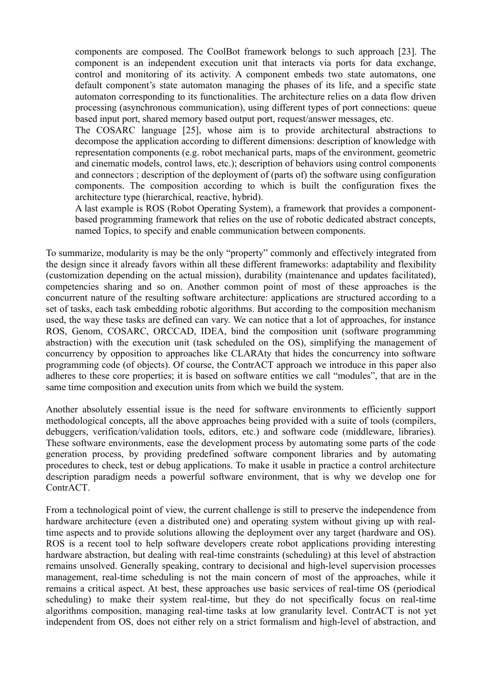components are composed. The CoolBot framework belongs to such approach [23]. The component is an independent execution unit that interacts via ports for data exchange, control and monitoring of its activity. A component embeds two state automatons, one default component's state automaton managing the phases of its life, and a specific state automaton corresponding to its functionalities. The architecture relies on a data flow driven processing (asynchronous communication), using different types of port connections: queue based input port, shared memory based output port, request/answer messages, etc.

The COSARC language [25], whose aim is to provide architectural abstractions to decompose the application according to different dimensions: description of knowledge with representation components (e.g. robot mechanical parts, maps of the environment, geometric and cinematic models, control laws, etc.); description of behaviors using control components and connectors ; description of the deployment of (parts of) the software using configuration components. The composition according to which is built the configuration fixes the architecture type (hierarchical, reactive, hybrid).

A last example is ROS (Robot Operating System), a framework that provides a componentbased programming framework that relies on the use of robotic dedicated abstract concepts, named Topics, to specify and enable communication between components.

To summarize, modularity is may be the only "property" commonly and effectively integrated from the design since it already favors within all these different frameworks: adaptability and flexibility (customization depending on the actual mission), durability (maintenance and updates facilitated), competencies sharing and so on. Another common point of most of these approaches is the concurrent nature of the resulting software architecture: applications are structured according to a set of tasks, each task embedding robotic algorithms. But according to the composition mechanism used, the way these tasks are defined can vary. We can notice that a lot of approaches, for instance ROS, Genom, COSARC, ORCCAD, IDEA, bind the composition unit (software programming abstraction) with the execution unit (task scheduled on the OS), simplifying the management of concurrency by opposition to approaches like CLARAty that hides the concurrency into software programming code (of objects). Of course, the ContrACT approach we introduce in this paper also adheres to these core properties; it is based on software entities we call "modules", that are in the same time composition and execution units from which we build the system.

Another absolutely essential issue is the need for software environments to efficiently support methodological concepts, all the above approaches being provided with a suite of tools (compilers, debuggers, verification/validation tools, editors, etc.) and software code (middleware, libraries). These software environments, ease the development process by automating some parts of the code generation process, by providing predefined software component libraries and by automating procedures to check, test or debug applications. To make it usable in practice a control architecture description paradigm needs a powerful software environment, that is why we develop one for ContrACT.

From a technological point of view, the current challenge is still to preserve the independence from hardware architecture (even a distributed one) and operating system without giving up with realtime aspects and to provide solutions allowing the deployment over any target (hardware and OS). ROS is a recent tool to help software developers create robot applications providing interesting hardware abstraction, but dealing with real-time constraints (scheduling) at this level of abstraction remains unsolved. Generally speaking, contrary to decisional and high-level supervision processes management, real-time scheduling is not the main concern of most of the approaches, while it remains a critical aspect. At best, these approaches use basic services of real-time OS (periodical scheduling) to make their system real-time, but they do not specifically focus on real-time algorithms composition, managing real-time tasks at low granularity level. ContrACT is not yet independent from OS, does not either rely on a strict formalism and high-level of abstraction, and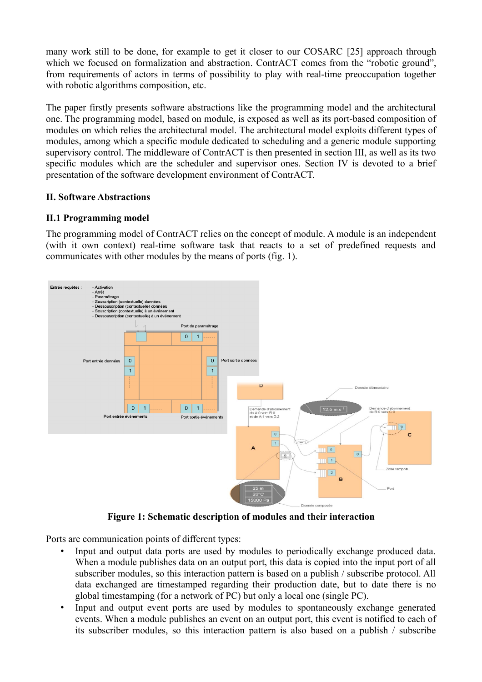many work still to be done, for example to get it closer to our COSARC [25] approach through which we focused on formalization and abstraction. ContrACT comes from the "robotic ground", from requirements of actors in terms of possibility to play with real-time preoccupation together with robotic algorithms composition, etc.

The paper firstly presents software abstractions like the programming model and the architectural one. The programming model, based on module, is exposed as well as its port-based composition of modules on which relies the architectural model. The architectural model exploits different types of modules, among which a specific module dedicated to scheduling and a generic module supporting supervisory control. The middleware of ContrACT is then presented in section III, as well as its two specific modules which are the scheduler and supervisor ones. Section IV is devoted to a brief presentation of the software development environment of ContrACT.

## **II. Software Abstractions**

## **II.1 Programming model**

The programming model of ContrACT relies on the concept of module. A module is an independent (with it own context) real-time software task that reacts to a set of predefined requests and communicates with other modules by the means of ports (fig. 1).



**Figure 1: Schematic description of modules and their interaction**

Ports are communication points of different types:

- Input and output data ports are used by modules to periodically exchange produced data. When a module publishes data on an output port, this data is copied into the input port of all subscriber modules, so this interaction pattern is based on a publish / subscribe protocol. All data exchanged are timestamped regarding their production date, but to date there is no global timestamping (for a network of PC) but only a local one (single PC).
- Input and output event ports are used by modules to spontaneously exchange generated events. When a module publishes an event on an output port, this event is notified to each of its subscriber modules, so this interaction pattern is also based on a publish / subscribe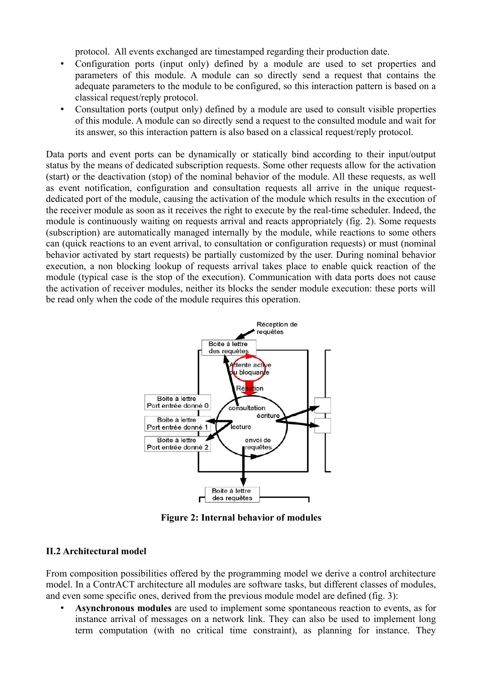protocol. All events exchanged are timestamped regarding their production date.

- Configuration ports (input only) defined by a module are used to set properties and parameters of this module. A module can so directly send a request that contains the adequate parameters to the module to be configured, so this interaction pattern is based on a classical request/reply protocol.
- Consultation ports (output only) defined by a module are used to consult visible properties of this module. A module can so directly send a request to the consulted module and wait for its answer, so this interaction pattern is also based on a classical request/reply protocol.

Data ports and event ports can be dynamically or statically bind according to their input/output status by the means of dedicated subscription requests. Some other requests allow for the activation (start) or the deactivation (stop) of the nominal behavior of the module. All these requests, as well as event notification, configuration and consultation requests all arrive in the unique requestdedicated port of the module, causing the activation of the module which results in the execution of the receiver module as soon as it receives the right to execute by the real-time scheduler. Indeed, the module is continuously waiting on requests arrival and reacts appropriately (fig. 2). Some requests (subscription) are automatically managed internally by the module, while reactions to some others can (quick reactions to an event arrival, to consultation or configuration requests) or must (nominal behavior activated by start requests) be partially customized by the user. During nominal behavior execution, a non blocking lookup of requests arrival takes place to enable quick reaction of the module (typical case is the stop of the execution). Communication with data ports does not cause the activation of receiver modules, neither its blocks the sender module execution: these ports will be read only when the code of the module requires this operation.



**Figure 2: Internal behavior of modules**

#### **II.2 Architectural model**

From composition possibilities offered by the programming model we derive a control architecture model. In a ContrACT architecture all modules are software tasks, but different classes of modules, and even some specific ones, derived from the previous module model are defined (fig. 3):

• **Asynchronous modules** are used to implement some spontaneous reaction to events, as for instance arrival of messages on a network link. They can also be used to implement long term computation (with no critical time constraint), as planning for instance. They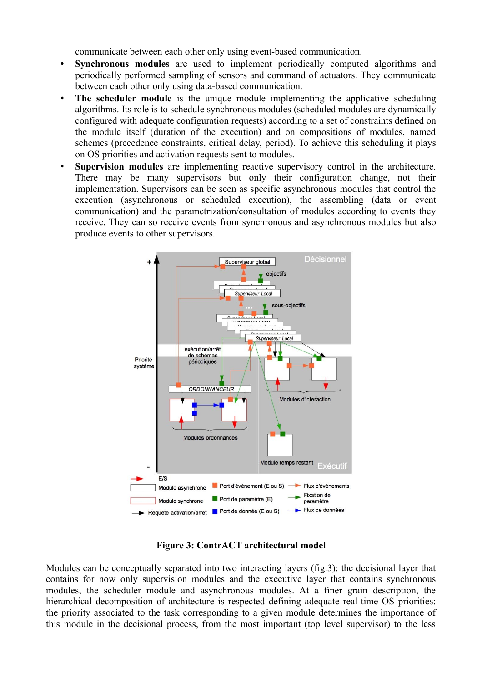communicate between each other only using event-based communication.

- **Synchronous modules** are used to implement periodically computed algorithms and periodically performed sampling of sensors and command of actuators. They communicate between each other only using data-based communication.
- **The scheduler module** is the unique module implementing the applicative scheduling algorithms. Its role is to schedule synchronous modules (scheduled modules are dynamically configured with adequate configuration requests) according to a set of constraints defined on the module itself (duration of the execution) and on compositions of modules, named schemes (precedence constraints, critical delay, period). To achieve this scheduling it plays on OS priorities and activation requests sent to modules.
- **Supervision modules** are implementing reactive supervisory control in the architecture. There may be many supervisors but only their configuration change, not their implementation. Supervisors can be seen as specific asynchronous modules that control the execution (asynchronous or scheduled execution), the assembling (data or event communication) and the parametrization/consultation of modules according to events they receive. They can so receive events from synchronous and asynchronous modules but also produce events to other supervisors.



**Figure 3: ContrACT architectural model**

Modules can be conceptually separated into two interacting layers (fig.3): the decisional layer that contains for now only supervision modules and the executive layer that contains synchronous modules, the scheduler module and asynchronous modules. At a finer grain description, the hierarchical decomposition of architecture is respected defining adequate real-time OS priorities: the priority associated to the task corresponding to a given module determines the importance of this module in the decisional process, from the most important (top level supervisor) to the less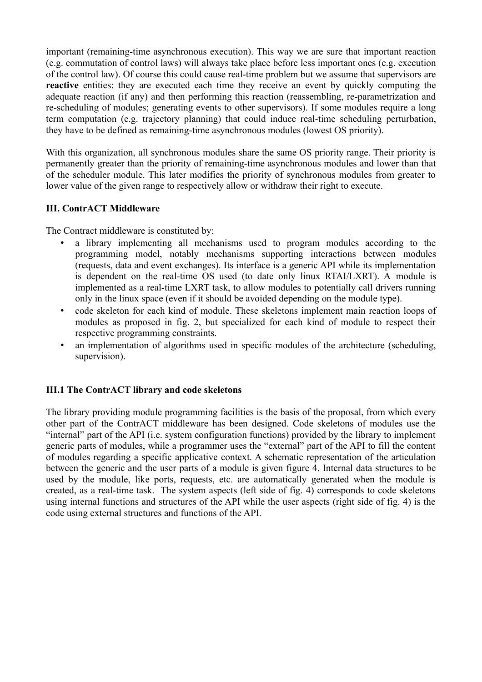important (remaining-time asynchronous execution). This way we are sure that important reaction (e.g. commutation of control laws) will always take place before less important ones (e.g. execution of the control law). Of course this could cause real-time problem but we assume that supervisors are **reactive** entities: they are executed each time they receive an event by quickly computing the adequate reaction (if any) and then performing this reaction (reassembling, re-parametrization and re-scheduling of modules; generating events to other supervisors). If some modules require a long term computation (e.g. trajectory planning) that could induce real-time scheduling perturbation, they have to be defined as remaining-time asynchronous modules (lowest OS priority).

With this organization, all synchronous modules share the same OS priority range. Their priority is permanently greater than the priority of remaining-time asynchronous modules and lower than that of the scheduler module. This later modifies the priority of synchronous modules from greater to lower value of the given range to respectively allow or withdraw their right to execute.

## **III. ContrACT Middleware**

The Contract middleware is constituted by:

- a library implementing all mechanisms used to program modules according to the programming model, notably mechanisms supporting interactions between modules (requests, data and event exchanges). Its interface is a generic API while its implementation is dependent on the real-time OS used (to date only linux RTAI/LXRT). A module is implemented as a real-time LXRT task, to allow modules to potentially call drivers running only in the linux space (even if it should be avoided depending on the module type).
- code skeleton for each kind of module. These skeletons implement main reaction loops of modules as proposed in fig. 2, but specialized for each kind of module to respect their respective programming constraints.
- an implementation of algorithms used in specific modules of the architecture (scheduling, supervision).

## **III.1 The ContrACT library and code skeletons**

The library providing module programming facilities is the basis of the proposal, from which every other part of the ContrACT middleware has been designed. Code skeletons of modules use the "internal" part of the API (i.e. system configuration functions) provided by the library to implement generic parts of modules, while a programmer uses the "external" part of the API to fill the content of modules regarding a specific applicative context. A schematic representation of the articulation between the generic and the user parts of a module is given figure 4. Internal data structures to be used by the module, like ports, requests, etc. are automatically generated when the module is created, as a real-time task. The system aspects (left side of fig. 4) corresponds to code skeletons using internal functions and structures of the API while the user aspects (right side of fig. 4) is the code using external structures and functions of the API.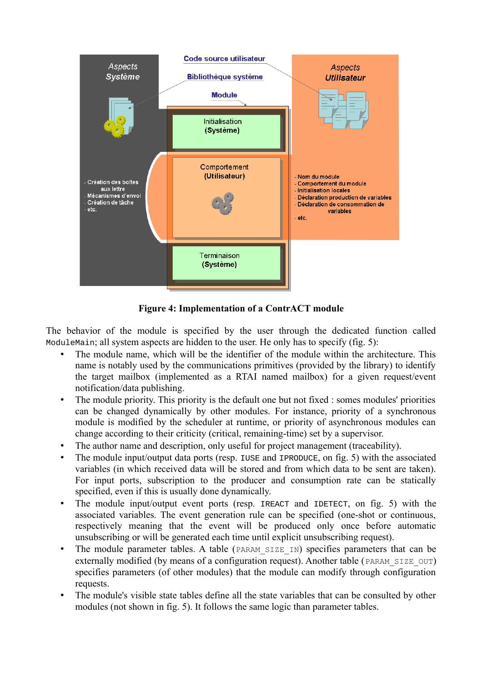

**Figure 4: Implementation of a ContrACT module**

The behavior of the module is specified by the user through the dedicated function called ModuleMain; all system aspects are hidden to the user. He only has to specify (fig. 5):

- The module name, which will be the identifier of the module within the architecture. This name is notably used by the communications primitives (provided by the library) to identify the target mailbox (implemented as a RTAI named mailbox) for a given request/event notification/data publishing.
- The module priority. This priority is the default one but not fixed : somes modules' priorities can be changed dynamically by other modules. For instance, priority of a synchronous module is modified by the scheduler at runtime, or priority of asynchronous modules can change according to their criticity (critical, remaining-time) set by a supervisor.
- The author name and description, only useful for project management (traceability).
- The module input/output data ports (resp. IUSE and IPRODUCE, on fig. 5) with the associated variables (in which received data will be stored and from which data to be sent are taken). For input ports, subscription to the producer and consumption rate can be statically specified, even if this is usually done dynamically.
- The module input/output event ports (resp. IREACT and IDETECT, on fig. 5) with the associated variables. The event generation rule can be specified (one-shot or continuous, respectively meaning that the event will be produced only once before automatic unsubscribing or will be generated each time until explicit unsubscribing request).
- The module parameter tables. A table (PARAM SIZE IN) specifies parameters that can be externally modified (by means of a configuration request). Another table (PARAM SIZE OUT) specifies parameters (of other modules) that the module can modify through configuration requests.
- The module's visible state tables define all the state variables that can be consulted by other modules (not shown in fig. 5). It follows the same logic than parameter tables.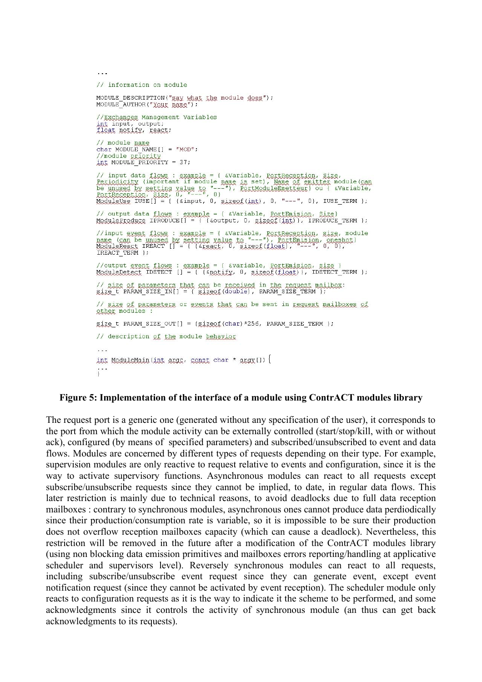```
// information on module
MODULE DESCRIPTION ("gay what the module does");<br>MODULE_AUTHOR("YOUR RAME");
 //Exchanges Management Variables
int input, output;<br>float notify, react;
 // module name
char MODULE NAME [1 = "MOD";//module priority<br>int MODULE PRIORITY = 37;
// input data flows : example = { &Variable, PortReception, Size,<br>Periodicity (important if module name is set), Name of emitter module(can<br>be unused by setting value to "---"), PortModuleEmetteur) ou { &Variable,<br>PortRece
// output data flows : example = { &Variable, <u>PortEmision</u>, Size}<br>ModuleProduce IPRODUCE[] = { {&output, 0, sizeof(int)}, IPRODUCE_TERM };
//input exent flows : example = { &Variable, PortReception, size, module<br>name (san be unused by setting value to "---"), PortPmision, oneshot}<br>ModuleReact IREACT [] = { {&react, 0, sizeof(float), "---", 0, 0},
 IREACT TERM };
//output exent flows : example = { &variable, <u>PortEmision, size</u> }<br>ModuleDetect IDETECT [] = { {&notify, 0, sizeof(float)}, IDETECT_TERM };
// size of parameters that can be received in the request mailbox:<br>size t PARAM_SIZE_IN[] = { sizeof(double), PARAM_SIZE_TERM };
// size of parameters or events that can be sent in request mailboxes of
other modules :
gize t PARAM SIZE OUT[] = {gizeof(char) *256, PARAM SIZE TERM };
// description of the module behavior
 \sim \simint ModuleMain(int argc, const char * argy[1) \{
```
#### **Figure 5: Implementation of the interface of a module using ContrACT modules library**

The request port is a generic one (generated without any specification of the user), it corresponds to the port from which the module activity can be externally controlled (start/stop/kill, with or without ack), configured (by means of specified parameters) and subscribed/unsubscribed to event and data flows. Modules are concerned by different types of requests depending on their type. For example, supervision modules are only reactive to request relative to events and configuration, since it is the way to activate supervisory functions. Asynchronous modules can react to all requests except subscribe/unsubscribe requests since they cannot be implied, to date, in regular data flows. This later restriction is mainly due to technical reasons, to avoid deadlocks due to full data reception mailboxes : contrary to synchronous modules, asynchronous ones cannot produce data perdiodically since their production/consumption rate is variable, so it is impossible to be sure their production does not overflow reception mailboxes capacity (which can cause a deadlock). Nevertheless, this restriction will be removed in the future after a modification of the ContrACT modules library (using non blocking data emission primitives and mailboxes errors reporting/handling at applicative scheduler and supervisors level). Reversely synchronous modules can react to all requests, including subscribe/unsubscribe event request since they can generate event, except event notification request (since they cannot be activated by event reception). The scheduler module only reacts to configuration requests as it is the way to indicate it the scheme to be performed, and some acknowledgments since it controls the activity of synchronous module (an thus can get back acknowledgments to its requests).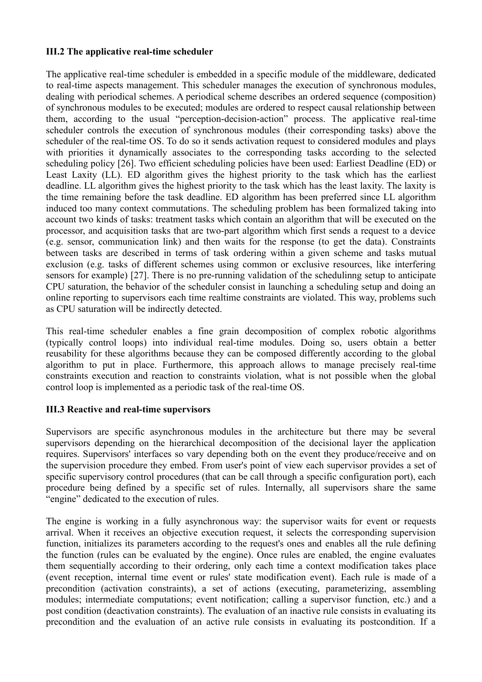### **III.2 The applicative real-time scheduler**

The applicative real-time scheduler is embedded in a specific module of the middleware, dedicated to real-time aspects management. This scheduler manages the execution of synchronous modules, dealing with periodical schemes. A periodical scheme describes an ordered sequence (composition) of synchronous modules to be executed; modules are ordered to respect causal relationship between them, according to the usual "perception-decision-action" process. The applicative real-time scheduler controls the execution of synchronous modules (their corresponding tasks) above the scheduler of the real-time OS. To do so it sends activation request to considered modules and plays with priorities it dynamically associates to the corresponding tasks according to the selected scheduling policy [26]. Two efficient scheduling policies have been used: Earliest Deadline (ED) or Least Laxity (LL). ED algorithm gives the highest priority to the task which has the earliest deadline. LL algorithm gives the highest priority to the task which has the least laxity. The laxity is the time remaining before the task deadline. ED algorithm has been preferred since LL algorithm induced too many context commutations. The scheduling problem has been formalized taking into account two kinds of tasks: treatment tasks which contain an algorithm that will be executed on the processor, and acquisition tasks that are two-part algorithm which first sends a request to a device (e.g. sensor, communication link) and then waits for the response (to get the data). Constraints between tasks are described in terms of task ordering within a given scheme and tasks mutual exclusion (e.g. tasks of different schemes using common or exclusive resources, like interfering sensors for example) [27]. There is no pre-running validation of the schedulinng setup to anticipate CPU saturation, the behavior of the scheduler consist in launching a scheduling setup and doing an online reporting to supervisors each time realtime constraints are violated. This way, problems such as CPU saturation will be indirectly detected.

This real-time scheduler enables a fine grain decomposition of complex robotic algorithms (typically control loops) into individual real-time modules. Doing so, users obtain a better reusability for these algorithms because they can be composed differently according to the global algorithm to put in place. Furthermore, this approach allows to manage precisely real-time constraints execution and reaction to constraints violation, what is not possible when the global control loop is implemented as a periodic task of the real-time OS.

## **III.3 Reactive and real-time supervisors**

Supervisors are specific asynchronous modules in the architecture but there may be several supervisors depending on the hierarchical decomposition of the decisional layer the application requires. Supervisors' interfaces so vary depending both on the event they produce/receive and on the supervision procedure they embed. From user's point of view each supervisor provides a set of specific supervisory control procedures (that can be call through a specific configuration port), each procedure being defined by a specific set of rules. Internally, all supervisors share the same "engine" dedicated to the execution of rules.

The engine is working in a fully asynchronous way: the supervisor waits for event or requests arrival. When it receives an objective execution request, it selects the corresponding supervision function, initializes its parameters according to the request's ones and enables all the rule defining the function (rules can be evaluated by the engine). Once rules are enabled, the engine evaluates them sequentially according to their ordering, only each time a context modification takes place (event reception, internal time event or rules' state modification event). Each rule is made of a precondition (activation constraints), a set of actions (executing, parameterizing, assembling modules; intermediate computations; event notification; calling a supervisor function, etc.) and a post condition (deactivation constraints). The evaluation of an inactive rule consists in evaluating its precondition and the evaluation of an active rule consists in evaluating its postcondition. If a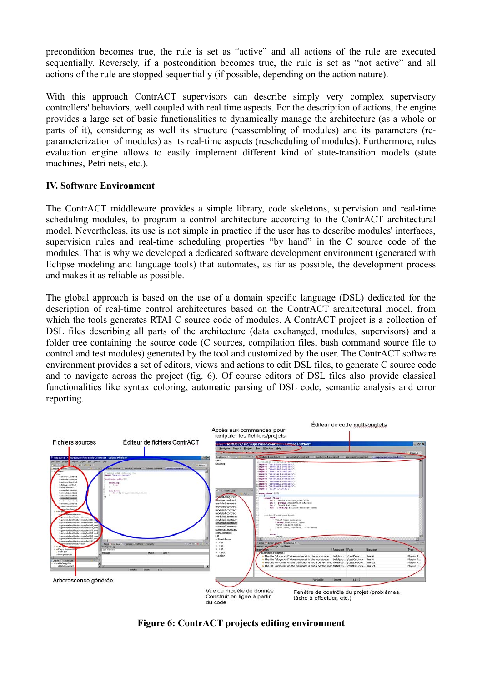precondition becomes true, the rule is set as "active" and all actions of the rule are executed sequentially. Reversely, if a postcondition becomes true, the rule is set as "not active" and all actions of the rule are stopped sequentially (if possible, depending on the action nature).

With this approach ContrACT supervisors can describe simply very complex supervisory controllers' behaviors, well coupled with real time aspects. For the description of actions, the engine provides a large set of basic functionalities to dynamically manage the architecture (as a whole or parts of it), considering as well its structure (reassembling of modules) and its parameters (reparameterization of modules) as its real-time aspects (rescheduling of modules). Furthermore, rules evaluation engine allows to easily implement different kind of state-transition models (state machines, Petri nets, etc.).

## **IV. Software Environment**

The ContrACT middleware provides a simple library, code skeletons, supervision and real-time scheduling modules, to program a control architecture according to the ContrACT architectural model. Nevertheless, its use is not simple in practice if the user has to describe modules' interfaces, supervision rules and real-time scheduling properties "by hand" in the C source code of the modules. That is why we developed a dedicated software development environment (generated with Eclipse modeling and language tools) that automates, as far as possible, the development process and makes it as reliable as possible.

The global approach is based on the use of a domain specific language (DSL) dedicated for the description of real-time control architectures based on the ContrACT architectural model, from which the tools generates RTAI C source code of modules. A ContrACT project is a collection of DSL files describing all parts of the architecture (data exchanged, modules, supervisors) and a folder tree containing the source code (C sources, compilation files, bash command source file to control and test modules) generated by the tool and customized by the user. The ContrACT software environment provides a set of editors, views and actions to edit DSL files, to generate C source code and to navigate across the project (fig. 6). Of course editors of DSL files also provide classical functionalities like syntax coloring, automatic parsing of DSL code, semantic analysis and error reporting.



**Figure 6: ContrACT projects editing environment**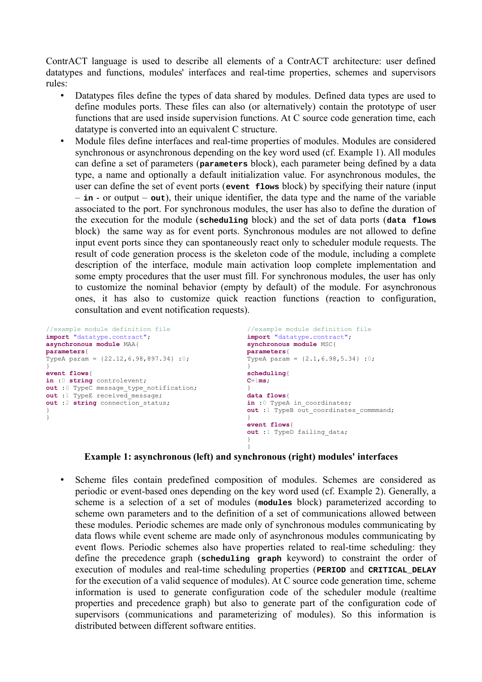ContrACT language is used to describe all elements of a ContrACT architecture: user defined datatypes and functions, modules' interfaces and real-time properties, schemes and supervisors rules:

- Datatypes files define the types of data shared by modules. Defined data types are used to define modules ports. These files can also (or alternatively) contain the prototype of user functions that are used inside supervision functions. At C source code generation time, each datatype is converted into an equivalent C structure.
- Module files define interfaces and real-time properties of modules. Modules are considered synchronous or asynchronous depending on the key word used (cf. Example 1). All modules can define a set of parameters (**parameters** block), each parameter being defined by a data type, a name and optionally a default initialization value. For asynchronous modules, the user can define the set of event ports (**event flows** block) by specifying their nature (input – **in** - or output – **out**), their unique identifier, the data type and the name of the variable associated to the port. For synchronous modules, the user has also to define the duration of the execution for the module (**scheduling** block) and the set of data ports (**data flows** block) the same way as for event ports. Synchronous modules are not allowed to define input event ports since they can spontaneously react only to scheduler module requests. The result of code generation process is the skeleton code of the module, including a complete description of the interface, module main activation loop complete implementation and some empty procedures that the user must fill. For synchronous modules, the user has only to customize the nominal behavior (empty by default) of the module. For asynchronous ones, it has also to customize quick reaction functions (reaction to configuration, consultation and event notification requests).

```
//example module definition file //example module definition file<br>
import "datatype.contract";<br>
import "datatype.contract";
                                                      import "datatype.contract";<br>synchronous module MSC{
asynchronous module MAA{ \text{parameters}parameters{<br>TypeA param = \{2.1, 6.98, 5.34\} : 0;TypeA param = \{22.12, 6.98, 897.34\}:0;
} }
event flows<br>
in :0 string controlevent;<br>
c=1ms;
in :0 string controlevent;
out :0 TypeC message_type_notification; }<br>out :1 TypeE received message; }<br>data flows{
out :1 TypeE received_message;<br>
out :2 string connection status; <br>
out :2 string connection status; <br>
in :0 TypeA in coordinates;
out :2 string connection status;
} out :1 TypeB out_coordinates_commmand;
} }
                                                       event flows{
                                                       out :1 TypeD failing_data;
                                                       }
                                                       }
```
#### **Example 1: asynchronous (left) and synchronous (right) modules' interfaces**

• Scheme files contain predefined composition of modules. Schemes are considered as periodic or event-based ones depending on the key word used (cf. Example 2). Generally, a scheme is a selection of a set of modules (**modules** block) parameterized according to scheme own parameters and to the definition of a set of communications allowed between these modules. Periodic schemes are made only of synchronous modules communicating by data flows while event scheme are made only of asynchronous modules communicating by event flows. Periodic schemes also have properties related to real-time scheduling: they define the precedence graph (**scheduling graph** keyword) to constraint the order of execution of modules and real-time scheduling properties (**PERIOD** and **CRITICAL\_DELAY** for the execution of a valid sequence of modules). At C source code generation time, scheme information is used to generate configuration code of the scheduler module (realtime properties and precedence graph) but also to generate part of the configuration code of supervisors (communications and parameterizing of modules). So this information is distributed between different software entities.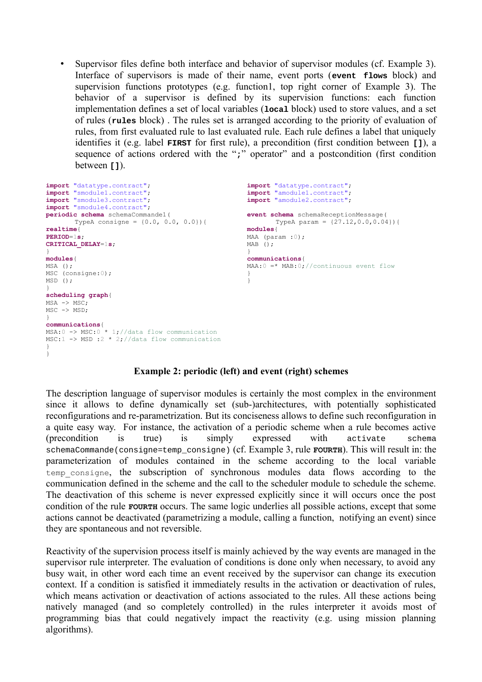• Supervisor files define both interface and behavior of supervisor modules (cf. Example 3). Interface of supervisors is made of their name, event ports (**event flows** block) and supervision functions prototypes (e.g. function1, top right corner of Example 3). The behavior of a supervisor is defined by its supervision functions: each function implementation defines a set of local variables (**local** block) used to store values, and a set of rules (**rules** block) . The rules set is arranged according to the priority of evaluation of rules, from first evaluated rule to last evaluated rule. Each rule defines a label that uniquely identifies it (e.g. label **FIRST** for first rule), a precondition (first condition between **[]**), a sequence of actions ordered with the ";" operator" and a postcondition (first condition between **[1]**.

```
import "datatype.contract"; import "datatype.contract"; import "smodule1.contract"; import "amodule1.contract";
import "smodule1.contract"; import "amodule1.contract";
                                                 import "smodule3.contract"; import "amodule2.contract";
import "smodule4.contract";
periodic schema schemaCommande1( event schema schemaReceptionMessage(
      TypeA consigne = \{0.0, 0.0, 0.0\}\ TypeA param = \{27.12, 0.0, 0.04\}\realtime{<br> PERIOD=1sMAA (param :0);<br>MAB ():
CRITICAL DELAY=1s;
} }
modules { communications { communications { communications { communications { msa ( ) ; max : 0 m
                                                 MA:0 =* MAB:0; //continuous event flow
MSC (consigne: 0); }
MSD();
}
scheduling graph{
MSA -> MSC;
MSC -> MSD;
}
communications{
MSA:0 \rightarrow MSC:0<sup>*</sup> 1;//data flow communication
MSC:1 -> MSD :2 * 2;//data flow communication
}
}
```
#### **Example 2: periodic (left) and event (right) schemes**

The description language of supervisor modules is certainly the most complex in the environment since it allows to define dynamically set (sub-)architectures, with potentially sophisticated reconfigurations and re-parametrization. But its conciseness allows to define such reconfiguration in a quite easy way. For instance, the activation of a periodic scheme when a rule becomes active (precondition is true) is simply expressed with activate schema schemaCommande(consigne=temp\_consigne) (cf. Example 3, rule **FOURTH**). This will result in: the parameterization of modules contained in the scheme according to the local variable temp\_consigne, the subscription of synchronous modules data flows according to the communication defined in the scheme and the call to the scheduler module to schedule the scheme. The deactivation of this scheme is never expressed explicitly since it will occurs once the post condition of the rule **FOURTH** occurs. The same logic underlies all possible actions, except that some actions cannot be deactivated (parametrizing a module, calling a function, notifying an event) since they are spontaneous and not reversible.

Reactivity of the supervision process itself is mainly achieved by the way events are managed in the supervisor rule interpreter. The evaluation of conditions is done only when necessary, to avoid any busy wait, in other word each time an event received by the supervisor can change its execution context. If a condition is satisfied it immediately results in the activation or deactivation of rules, which means activation or deactivation of actions associated to the rules. All these actions being natively managed (and so completely controlled) in the rules interpreter it avoids most of programming bias that could negatively impact the reactivity (e.g. using mission planning algorithms).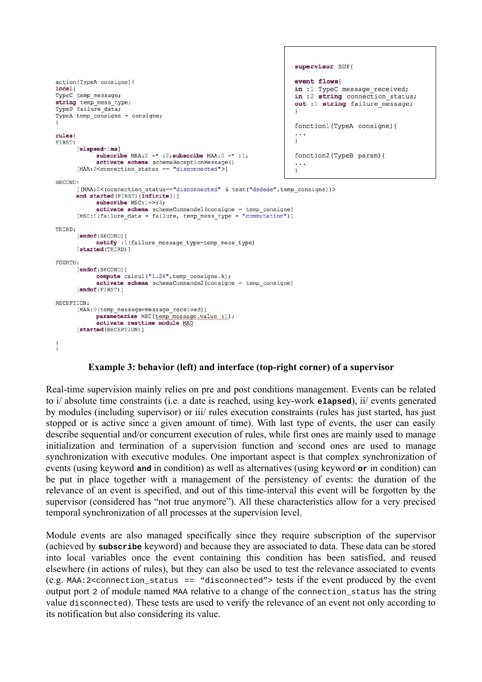```
supervisor SUP{
                                                                         event flows
action (TypeA consigne) {
local<sub>f</sub>in :1 TypeC message received;
TypeC temp message;
                                                                         in :2 string connection status;
string temp_mess_type;
                                                                         out :1 string failure message;
TypeD failure data;
TypeA temp consigne = consigne;
                                                                         fonction1(TypeA consigne){
rules
                                                                         \mathbf{1}FIRST.
      [elapsed=1ms]
            subscribe MAA:2 = * :2; subscribe MAA:0 = * :1;
                                                                         fonction2 (TypeB param) {
            activate schema schemaReceptionMessage()
      [MAA:2<connection status == "disconnected">]
                                                                         \downarrowSECOND:
      [(MAA:2<(connection status=="disconnected" & test("dedede", temp consigne))>
      and started (FIRST) (infinite)) ]
            subscribe MSC:1=>:3;
            activate schema schemaCommandel (consigne = temp consigne)
      [MSC:1(failure_data = failure, temp_mess_type = "commutation")]
THIRD.
      [endof (SECOND) ]
            notify :1(failure_message_type=temp_mess_type)
      [started (THIRD) ]
FOURTH:
      [endof(SECOND)]
            compute calcul("1.24", temp_consigne.k);
            activeate schema schemaCommande2(consigne = temp consigne)
      [endof (FIRST) ]
RECEPTION:
      [MAA: 0 (temp message=message received)]
           parameterize MSC(temp message.value :1);
            activate resttime module MAD
      [started (RECEPTION) ]
\left.\rule{0pt}{10pt}\right.
```
## **Example 3: behavior (left) and interface (top-right corner) of a supervisor**

Real-time supervision mainly relies on pre and post conditions management. Events can be related to i/ absolute time constraints (i.e. a date is reached, using key-work **elapsed**), ii/ events generated by modules (including supervisor) or iii/ rules execution constraints (rules has just started, has just stopped or is active since a given amount of time). With last type of events, the user can easily describe sequential and/or concurrent execution of rules, while first ones are mainly used to manage initialization and termination of a supervision function and second ones are used to manage synchronization with executive modules. One important aspect is that complex synchronization of events (using keyword **and** in condition) as well as alternatives (using keyword **or** in condition) can be put in place together with a management of the persistency of events: the duration of the relevance of an event is specified, and out of this time-interval this event will be forgotten by the supervisor (considered has "not true anymore"). All these characteristics allow for a very precised temporal synchronization of all processes at the supervision level.

Module events are also managed specifically since they require subscription of the supervisor (achieved by **subscribe** keyword) and because they are associated to data. These data can be stored into local variables once the event containing this condition has been satisfied, and reused elsewhere (in actions of rules), but they can also be used to test the relevance associated to events (e.g. MAA:2<connection status == "disconnected"> tests if the event produced by the event output port 2 of module named MAA relative to a change of the connection\_status has the string value disconnected). These tests are used to verify the relevance of an event not only according to its notification but also considering its value.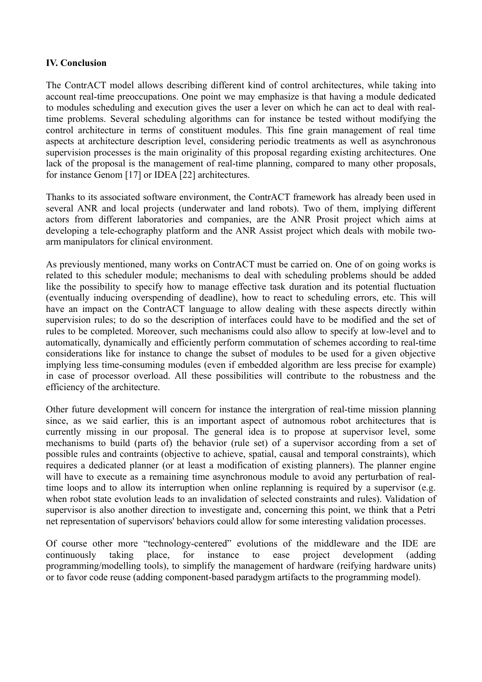### **IV. Conclusion**

The ContrACT model allows describing different kind of control architectures, while taking into account real-time preoccupations. One point we may emphasize is that having a module dedicated to modules scheduling and execution gives the user a lever on which he can act to deal with realtime problems. Several scheduling algorithms can for instance be tested without modifying the control architecture in terms of constituent modules. This fine grain management of real time aspects at architecture description level, considering periodic treatments as well as asynchronous supervision processes is the main originality of this proposal regarding existing architectures. One lack of the proposal is the management of real-time planning, compared to many other proposals, for instance Genom [17] or IDEA [22] architectures.

Thanks to its associated software environment, the ContrACT framework has already been used in several ANR and local projects (underwater and land robots). Two of them, implying different actors from different laboratories and companies, are the ANR Prosit project which aims at developing a tele-echography platform and the ANR Assist project which deals with mobile twoarm manipulators for clinical environment.

As previously mentioned, many works on ContrACT must be carried on. One of on going works is related to this scheduler module; mechanisms to deal with scheduling problems should be added like the possibility to specify how to manage effective task duration and its potential fluctuation (eventually inducing overspending of deadline), how to react to scheduling errors, etc. This will have an impact on the ContrACT language to allow dealing with these aspects directly within supervision rules; to do so the description of interfaces could have to be modified and the set of rules to be completed. Moreover, such mechanisms could also allow to specify at low-level and to automatically, dynamically and efficiently perform commutation of schemes according to real-time considerations like for instance to change the subset of modules to be used for a given objective implying less time-consuming modules (even if embedded algorithm are less precise for example) in case of processor overload. All these possibilities will contribute to the robustness and the efficiency of the architecture.

Other future development will concern for instance the intergration of real-time mission planning since, as we said earlier, this is an important aspect of autnomous robot architectures that is currently missing in our proposal. The general idea is to propose at supervisor level, some mechanisms to build (parts of) the behavior (rule set) of a supervisor according from a set of possible rules and contraints (objective to achieve, spatial, causal and temporal constraints), which requires a dedicated planner (or at least a modification of existing planners). The planner engine will have to execute as a remaining time asynchronous module to avoid any perturbation of realtime loops and to allow its interruption when online replanning is required by a supervisor (e.g. when robot state evolution leads to an invalidation of selected constraints and rules). Validation of supervisor is also another direction to investigate and, concerning this point, we think that a Petri net representation of supervisors' behaviors could allow for some interesting validation processes.

Of course other more "technology-centered" evolutions of the middleware and the IDE are continuously taking place, for instance to ease project development (adding programming/modelling tools), to simplify the management of hardware (reifying hardware units) or to favor code reuse (adding component-based paradygm artifacts to the programming model).